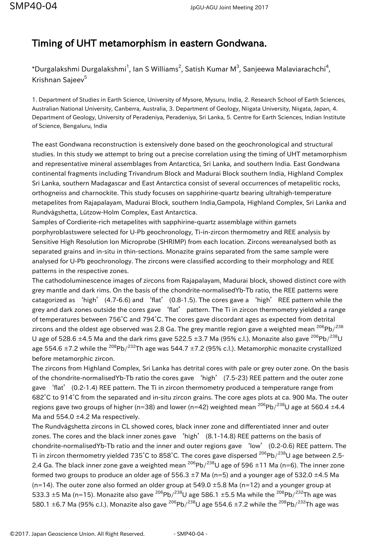## Timing of UHT metamorphism in eastern Gondwana.

\*Durgalakshmi Durgalakshmi<sup>1</sup>, Ian S Williams<sup>2</sup>, Satish Kumar M<sup>3</sup>, Sanjeewa Malaviarachchi<sup>4</sup>, Krishnan Sajeev<sup>5</sup>

1. Department of Studies in Earth Science, University of Mysore, Mysuru, India, 2. Research School of Earth Sciences, Australian National University, Canberra, Australia, 3. Department of Geology, Niigata University, Niigata, Japan, 4. Department of Geology, University of Peradeniya, Peradeniya, Sri Lanka, 5. Centre for Earth Sciences, Indian Institute of Science, Bengaluru, India

The east Gondwana reconstruction is extensively done based on the geochronological and structural studies. In this study we attempt to bring out a precise correlation using the timing of UHT metamorphism and representative mineral assemblages from Antarctica, Sri Lanka, and southern India. East Gondwana continental fragments including Trivandrum Block and Madurai Block southern India, Highland Complex Sri Lanka, southern Madagascar and East Antarctica consist of several occurrences of metapelitic rocks, orthogneiss and charnockite. This study focuses on sapphirine-quartz bearing ultrahigh-temperature metapelites from Rajapalayam, Madurai Block, southern India,Gampola, Highland Complex, Sri Lanka and Rundvågshetta, Lützow-Holm Complex, East Antarctica.

Samples of Cordierite-rich metapelites with sapphirine-quartz assemblage within garnets porphyroblastswere selected for U-Pb geochronology, Ti-in-zircon thermometry and REE analysis by Sensitive High Resolution Ion Microprobe (SHRIMP) from each location. Zircons wereanalysed both as separated grains and in-situ in thin-sections. Monazite grains separated from the same sample were analysed for U-Pb geochronology. The zircons were classified according to their morphology and REE patterns in the respective zones.

The cathodoluminescence images of zircons from Rajapalayam, Madurai block, showed distinct core with grey mantle and dark rims. On the basis of the chondrite-normalisedYb-Tb ratio, the REE patterns were catagorized as 'high' (4.7-6.6) and 'flat' (0.8-1.5). The cores gave a 'high' REE pattern while the grey and dark zones outside the cores gave 'flat' pattern. The Ti in zircon thermometry yielded a range of temperatures between 756°C and 794°C. The cores gave discordant ages as expected from detrital zircons and the oldest age observed was 2.8 Ga. The grey mantle region gave a weighted mean  $^{206}Pb/^{238}$ U age of 528.6  $\pm$ 4.5 Ma and the dark rims gave 522.5  $\pm$ 3.7 Ma (95% c.l.). Monazite also gave  $^{206}$ Pb/ $^{238}$ U age 554.6  $\pm$ 7.2 while the <sup>208</sup>Pb/<sup>232</sup>Th age was 544.7  $\pm$ 7.2 (95% c.l.). Metamorphic monazite crystallized before metamorphic zircon.

The zircons from Highland Complex, Sri Lanka has detrital cores with pale or grey outer zone. On the basis of the chondrite-normalisedYb-Tb ratio the cores gave 'high' (7.5-23) REE pattern and the outer zone gave 'flat' (0.2-1.4) REE pattern. The Ti in zircon thermometry produced a temperature range from 682°C to 914°C from the separated and in-situ zircon grains. The core ages plots at ca. 900 Ma. The outer regions gave two groups of higher (n=38) and lower (n=42) weighted mean  $^{206}Pb/^{238}U$  age at 560.4 ±4.4 Ma and 554.0 ±4.2 Ma respectively.

The Rundvågshetta zircons in CL showed cores, black inner zone and differentiated inner and outer zones. The cores and the black inner zones gave 'high' (8.1-14.8) REE patterns on the basis of chondrite-normalisedYb-Tb ratio and the inner and outer regions gave 'low' (0.2-0.6) REE pattern. The Ti in zircon thermometry yielded 735°C to 858°C. The cores gave dispersed <sup>206</sup>Pb/<sup>238</sup>U age between 2.5-2.4 Ga. The black inner zone gave a weighted mean  $^{206}Pb/^{238}U$  age of 596 ±11 Ma (n=6). The inner zone formed two groups to produce an older age of 556.3  $\pm$ 7 Ma (n=5) and a younger age of 532.0  $\pm$ 4.5 Ma (n=14). The outer zone also formed an older group at 549.0 ±5.8 Ma (n=12) and a younger group at 533.3  $\pm$ 5 Ma (n=15). Monazite also gave <sup>206</sup>Pb/<sup>238</sup>U age 586.1  $\pm$ 5.5 Ma while the <sup>208</sup>Pb/<sup>232</sup>Th age was 580.1  $\pm$ 6.7 Ma (95% c.l.). Monazite also gave <sup>206</sup>Pb/<sup>238</sup>U age 554.6  $\pm$ 7.2 while the <sup>208</sup>Pb/<sup>232</sup>Th age was